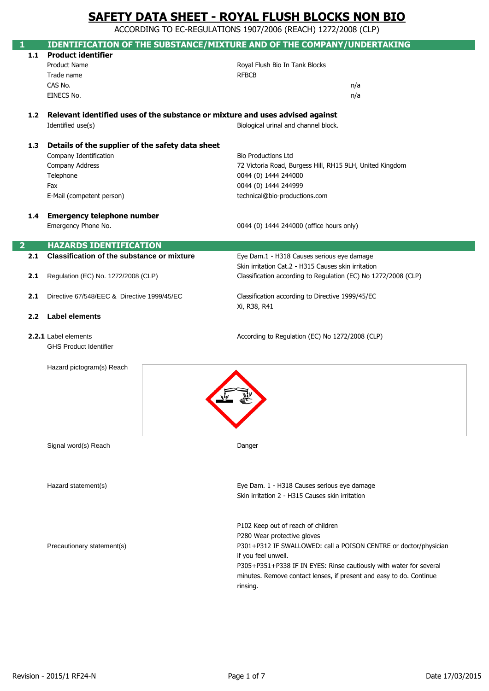ACCORDING TO EC-REGULATIONS 1907/2006 (REACH) 1272/2008 (CLP)

|                |                                                                                                            | $\frac{1}{2}$                                                       |
|----------------|------------------------------------------------------------------------------------------------------------|---------------------------------------------------------------------|
| 1.1            | <b>IDENTIFICATION OF THE SUBSTANCE/MIXTURE AND OF THE COMPANY/UNDERTAKING</b><br><b>Product identifier</b> |                                                                     |
|                |                                                                                                            |                                                                     |
|                | <b>Product Name</b>                                                                                        | Royal Flush Bio In Tank Blocks                                      |
|                | Trade name                                                                                                 | <b>RFBCB</b>                                                        |
|                | CAS No.                                                                                                    | n/a                                                                 |
|                | EINECS No.                                                                                                 | n/a                                                                 |
| 1.2            | Relevant identified uses of the substance or mixture and uses advised against                              |                                                                     |
|                | Identified use(s)                                                                                          | Biological urinal and channel block.                                |
|                |                                                                                                            |                                                                     |
| 1.3            | Details of the supplier of the safety data sheet                                                           |                                                                     |
|                | Company Identification                                                                                     | <b>Bio Productions Ltd</b>                                          |
|                | Company Address                                                                                            | 72 Victoria Road, Burgess Hill, RH15 9LH, United Kingdom            |
|                | Telephone                                                                                                  | 0044 (0) 1444 244000                                                |
|                | Fax                                                                                                        | 0044 (0) 1444 244999                                                |
|                | E-Mail (competent person)                                                                                  | technical@bio-productions.com                                       |
|                |                                                                                                            |                                                                     |
| 1.4            | <b>Emergency telephone number</b>                                                                          |                                                                     |
|                | Emergency Phone No.                                                                                        | 0044 (0) 1444 244000 (office hours only)                            |
| $\overline{2}$ | <b>HAZARDS IDENTIFICATION</b>                                                                              |                                                                     |
| 2.1            | <b>Classification of the substance or mixture</b>                                                          | Eye Dam.1 - H318 Causes serious eye damage                          |
|                |                                                                                                            | Skin irritation Cat.2 - H315 Causes skin irritation                 |
| 2.1            | Regulation (EC) No. 1272/2008 (CLP)                                                                        | Classification according to Regulation (EC) No 1272/2008 (CLP)      |
|                |                                                                                                            |                                                                     |
| 2.1            | Directive 67/548/EEC & Directive 1999/45/EC                                                                | Classification according to Directive 1999/45/EC                    |
| 2.2            | <b>Label elements</b>                                                                                      | Xi, R38, R41                                                        |
|                |                                                                                                            |                                                                     |
|                | 2.2.1 Label elements                                                                                       | According to Regulation (EC) No 1272/2008 (CLP)                     |
|                | <b>GHS Product Identifier</b>                                                                              |                                                                     |
|                |                                                                                                            |                                                                     |
|                | Hazard pictogram(s) Reach                                                                                  |                                                                     |
|                |                                                                                                            |                                                                     |
|                |                                                                                                            |                                                                     |
|                |                                                                                                            |                                                                     |
|                |                                                                                                            |                                                                     |
|                |                                                                                                            |                                                                     |
|                |                                                                                                            |                                                                     |
|                | Signal word(s) Reach                                                                                       | Danger                                                              |
|                |                                                                                                            |                                                                     |
|                |                                                                                                            |                                                                     |
|                | Hazard statement(s)                                                                                        | Eye Dam. 1 - H318 Causes serious eye damage                         |
|                |                                                                                                            | Skin irritation 2 - H315 Causes skin irritation                     |
|                |                                                                                                            |                                                                     |
|                |                                                                                                            |                                                                     |
|                |                                                                                                            | P102 Keep out of reach of children                                  |
|                |                                                                                                            | P280 Wear protective gloves                                         |
|                | Precautionary statement(s)                                                                                 | P301+P312 IF SWALLOWED: call a POISON CENTRE or doctor/physician    |
|                |                                                                                                            | if you feel unwell.                                                 |
|                |                                                                                                            | P305+P351+P338 IF IN EYES: Rinse cautiously with water for several  |
|                |                                                                                                            | minutes. Remove contact lenses, if present and easy to do. Continue |
|                |                                                                                                            | rinsing.                                                            |
|                |                                                                                                            |                                                                     |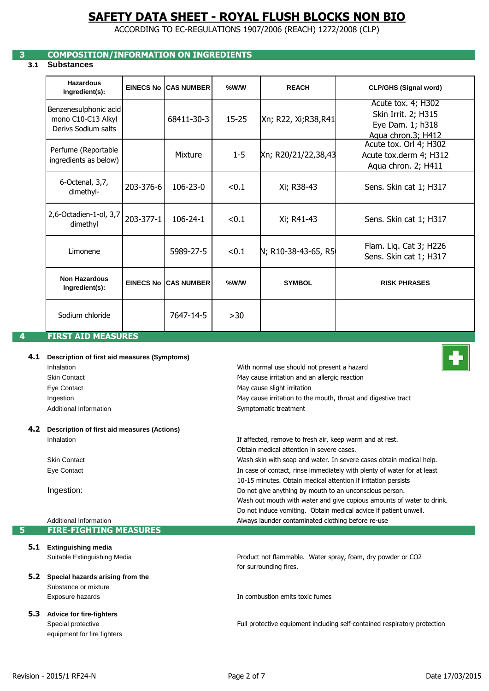ACCORDING TO EC-REGULATIONS 1907/2006 (REACH) 1272/2008 (CLP)

## **3 COMPOSITION/INFORMATION ON INGREDIENTS**

## **3.1 Substances**

| <b>Hazardous</b><br>Ingredient(s):                                 | <b>EINECS No</b> | <b>CAS NUMBER</b> | %W/W      | <b>REACH</b>          | <b>CLP/GHS (Signal word)</b>                                                        |
|--------------------------------------------------------------------|------------------|-------------------|-----------|-----------------------|-------------------------------------------------------------------------------------|
| Benzenesulphonic acid<br>mono C10-C13 Alkyl<br>Derivs Sodium salts |                  | 68411-30-3        | $15 - 25$ | Xn; R22, Xi; R38, R41 | Acute tox. 4; H302<br>Skin Irrit. 2; H315<br>Eye Dam. 1; h318<br>Agua chron.3; H412 |
| Perfume (Reportable<br>ingredients as below)                       |                  | Mixture           | $1 - 5$   | Xn; R20/21/22,38,43   | Acute tox. Orl 4; H302<br>Acute tox.derm 4; H312<br>Aqua chron. 2; H411             |
| 6-Octenal, 3,7,<br>dimethyl-                                       | 203-376-6        | $106 - 23 - 0$    | < 0.1     | Xi; R38-43            | Sens. Skin cat 1; H317                                                              |
| 2,6-Octadien-1-ol, 3,7<br>dimethyl                                 | 203-377-1        | $106 - 24 - 1$    | < 0.1     | Xi; R41-43            | Sens. Skin cat 1; H317                                                              |
| Limonene                                                           |                  | 5989-27-5         | < 0.1     | N; R10-38-43-65, R5   | Flam. Liq. Cat 3; H226<br>Sens. Skin cat 1; H317                                    |
| <b>Non Hazardous</b><br>Ingredient(s):                             | <b>EINECS No</b> | <b>CAS NUMBER</b> | %W/W      | <b>SYMBOL</b>         | <b>RISK PHRASES</b>                                                                 |
| Sodium chloride<br><b>FIRST AID MEASURFS</b>                       |                  | 7647-14-5         | >30       |                       |                                                                                     |

# **4 FIRST AID MEASURES**

| 4.1 | Description of first aid measures (Symptoms) |                                                               |  |
|-----|----------------------------------------------|---------------------------------------------------------------|--|
|     | Inhalation                                   | With normal use should not present a hazard                   |  |
|     | <b>Skin Contact</b>                          | May cause irritation and an allergic reaction                 |  |
|     | Eye Contact                                  | May cause slight irritation                                   |  |
|     | Ingestion                                    | May cause irritation to the mouth, throat and digestive tract |  |
|     | Additional Information                       | Symptomatic treatment                                         |  |
| 4.2 | Description of first aid measures (Actions)  |                                                               |  |
|     | Inhalation                                   | If affected, remove to fresh air, keep warm and at rest.      |  |
|     |                                              | Obtain medical attention in severe cases.                     |  |

Skin Contact Eye Contact

Ingestion:

Additional Information **5 FIRE-FIGHTING MEASURES**

**5.1 Extinguishing media** Suitable Extinguishing Media

# **5.2 Special hazards arising from the**  Substance or mixture

Exposure hazards

## **5.3 Advice for fire-fighters** Special protective equipment for fire fighters

for surrounding fires. Product not flammable. Water spray, foam, dry powder or CO2

10-15 minutes. Obtain medical attention if irritation persists

Do not give anything by mouth to an unconscious person.

Always launder contaminated clothing before re-use

Do not induce vomiting. Obtain medical advice if patient unwell.

Wash out mouth with water and give copious amounts of water to drink.

Wash skin with soap and water. In severe cases obtain medical help.

In case of contact, rinse immediately with plenty of water for at least

In combustion emits toxic fumes

Full protective equipment including self-contained respiratory protection

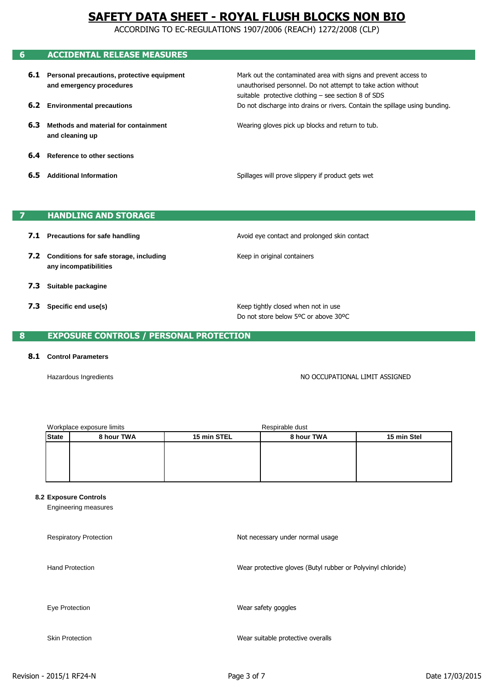ACCORDING TO EC-REGULATIONS 1907/2006 (REACH) 1272/2008 (CLP)

## **6 ACCIDENTAL RELEASE MEASURES**

- **6.1 Personal precautions, protective equipment and emergency procedures**
- **6.2 Environmental precautions**
- **6.3 Methods and material for containment and cleaning up**
- **6.4 Reference to other sections**
- **6.5 Additional Information**

suitable protective clothing – see section 8 of SDS Do not discharge into drains or rivers. Contain the spillage using bunding. unauthorised personnel. Do not attempt to take action without

Mark out the contaminated area with signs and prevent access to

Wearing gloves pick up blocks and return to tub.

Spillages will prove slippery if product gets wet

## **7 HANDLING AND STORAGE**

- **7.1 Precautions for safe handling**
- **7.2 Conditions for safe storage, including any incompatibilities**
- **7.3 Suitable packagine**
- **7.3 Specific end use(s)**

Avoid eye contact and prolonged skin contact Keep in original containers

Keep tightly closed when not in use Do not store below 5ºC or above 30ºC

### **8 EXPOSURE CONTROLS / PERSONAL PROTECTION**

#### **8.1 Control Parameters**

Hazardous Ingredients

NO OCCUPATIONAL LIMIT ASSIGNED

| Workplace exposure limits |            |             | Respirable dust |             |
|---------------------------|------------|-------------|-----------------|-------------|
| <b>State</b>              | 8 hour TWA | 15 min STEL | 8 hour TWA      | 15 min Stel |
|                           |            |             |                 |             |
|                           |            |             |                 |             |
|                           |            |             |                 |             |
|                           |            |             |                 |             |

#### **8.2 Exposure Controls**

Engineering measures

Respiratory Protection Hand Protection Eye Protection Skin Protection Wear protective gloves (Butyl rubber or Polyvinyl chloride) Wear safety goggles Wear suitable protective overalls Not necessary under normal usage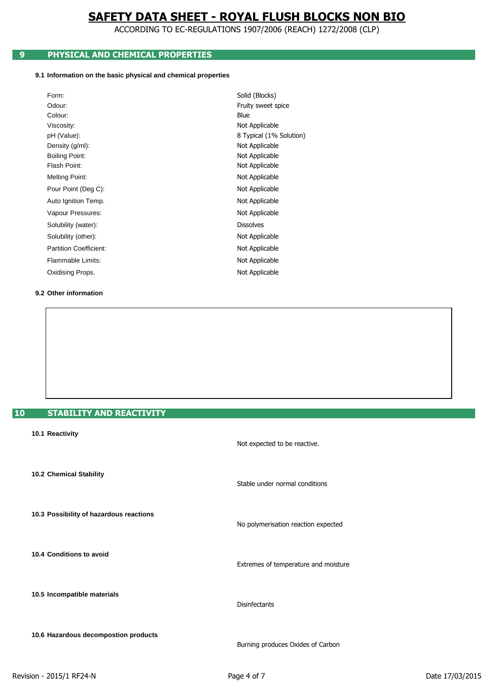ACCORDING TO EC-REGULATIONS 1907/2006 (REACH) 1272/2008 (CLP)

## **9 PHYSICAL AND CHEMICAL PROPERTIES**

### **9.1 Information on the basic physical and chemical properties**

| Form:                         | Solid (Blocks)          |
|-------------------------------|-------------------------|
| Odour:                        | Fruity sweet spice      |
| Colour:                       | Blue                    |
| Viscosity:                    | Not Applicable          |
| pH (Value):                   | 8 Typical (1% Solution) |
| Density (g/ml):               | Not Applicable          |
| Boiling Point:                | Not Applicable          |
| Flash Point:                  | Not Applicable          |
| <b>Melting Point:</b>         | Not Applicable          |
| Pour Point (Deg C):           | Not Applicable          |
| Auto Ignition Temp.           | Not Applicable          |
| Vapour Pressures:             | Not Applicable          |
| Solubility (water):           | <b>Dissolves</b>        |
| Solubility (other):           | Not Applicable          |
| <b>Partition Coefficient:</b> | Not Applicable          |
| Flammable Limits:             | Not Applicable          |
| Oxidising Props.              | Not Applicable          |
|                               |                         |

#### **9.2 Other information**

| 10 | <b>STABILITY AND REACTIVITY</b> |
|----|---------------------------------|

| 10.1 Reactivity                         | Not expected to be reactive.         |
|-----------------------------------------|--------------------------------------|
| 10.2 Chemical Stability                 | Stable under normal conditions       |
| 10.3 Possibility of hazardous reactions | No polymerisation reaction expected  |
| 10.4 Conditions to avoid                | Extremes of temperature and moisture |
| 10.5 Incompatible materials             | <b>Disinfectants</b>                 |
| 10.6 Hazardous decompostion products    | Burning produces Oxides of Carbon    |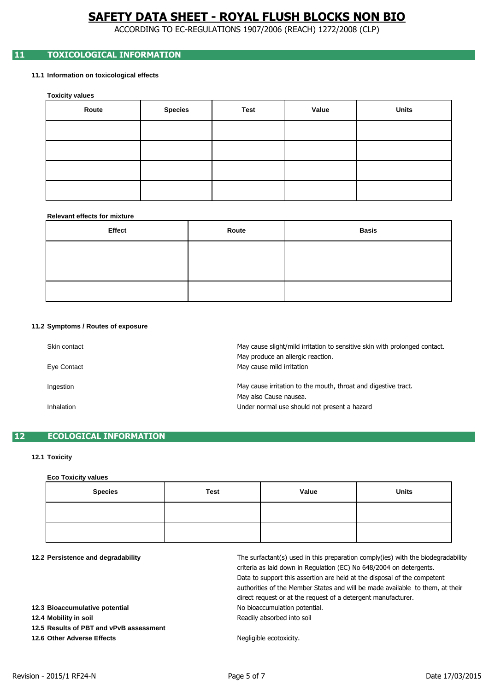ACCORDING TO EC-REGULATIONS 1907/2006 (REACH) 1272/2008 (CLP)

## **11 TOXICOLOGICAL INFORMATION**

### **11.1 Information on toxicological effects**

**Toxicity values**

| Route | <b>Species</b> | Test | Value | <b>Units</b> |
|-------|----------------|------|-------|--------------|
|       |                |      |       |              |
|       |                |      |       |              |
|       |                |      |       |              |
|       |                |      |       |              |

#### **Relevant effects for mixture**

| Effect | Route | <b>Basis</b> |
|--------|-------|--------------|
|        |       |              |
|        |       |              |
|        |       |              |

#### **11.2 Symptoms / Routes of exposure**

| Skin contact<br>Eye Contact | May cause slight/mild irritation to sensitive skin with prolonged contact.<br>May produce an allergic reaction.<br>May cause mild irritation |
|-----------------------------|----------------------------------------------------------------------------------------------------------------------------------------------|
| Ingestion                   | May cause irritation to the mouth, throat and digestive tract.<br>May also Cause nausea.                                                     |
| Inhalation                  | Under normal use should not present a hazard                                                                                                 |

## **12 ECOLOGICAL INFORMATION**

#### **12.1 Toxicity**

#### **Eco Toxicity values**

| <b>Species</b> | Test | Value | <b>Units</b> |
|----------------|------|-------|--------------|
|                |      |       |              |
|                |      |       |              |

#### **12.2 Persistence and degradability**

**12.3 Bioaccumulative potential**

**12.4 Mobility in soil**

**12.5 Results of PBT and vPvB assessment**

**12.6 Other Adverse Effects**

Negligible ecotoxicity.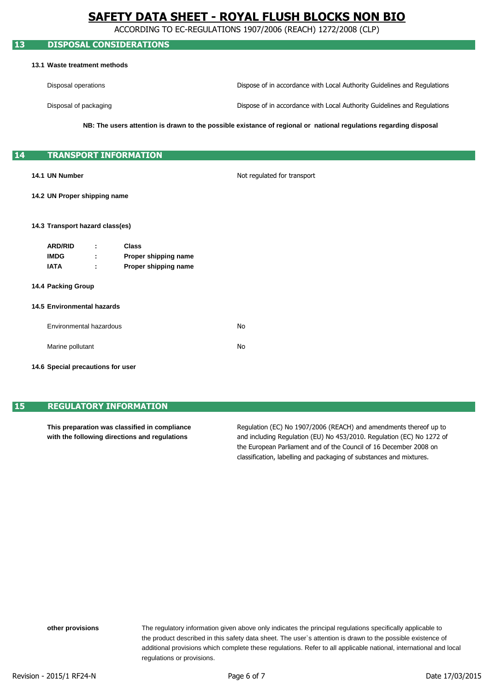ACCORDING TO EC-REGULATIONS 1907/2006 (REACH) 1272/2008 (CLP)

### **13 DISPOSAL CONSIDERATIONS**

#### **13.1 Waste treatment methods**

Disposal operations Dispose of in accordance with Local Authority Guidelines and Regulations

Disposal of packaging

Dispose of in accordance with Local Authority Guidelines and Regulations

**NB: The users attention is drawn to the possible existance of regional or national regulations regarding disposal**

## **14 TRANSPORT INFORMATION**

#### **14.1 UN Number**

Not regulated for transport

### **14.2 UN Proper shipping name**

#### **14.3 Transport hazard class(es)**

| <b>ARD/RID</b> | ٠      | Class                |
|----------------|--------|----------------------|
| <b>IMDG</b>    | ٠<br>٠ | Proper shipping name |
| IATA           | ٠<br>÷ | Proper shipping name |

#### **14.4 Packing Group**

#### **14.5 Environmental hazards**

| Environmental hazardous | No |
|-------------------------|----|
| Marine pollutant        | N٥ |

#### **14.6 Special precautions for user**

## **15 REGULATORY INFORMATION**

**This preparation was classified in compliance with the following directions and regulations**

classification, labelling and packaging of substances and mixtures. the European Parliament and of the Council of 16 December 2008 on Regulation (EC) No 1907/2006 (REACH) and amendments thereof up to and including Regulation (EU) No 453/2010. Regulation (EC) No 1272 of

regulations or provisions. additional provisions which complete these regulations. Refer to all applicable national, international and local The regulatory information given above only indicates the principal regulations specifically applicable to the product described in this safety data sheet. The user`s attention is drawn to the possible existence of